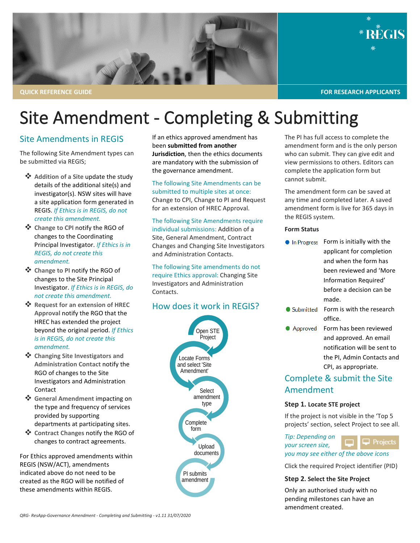

# Site Amendment - Completing & Submitting

## Site Amendments in REGIS

The following Site Amendment types can be submitted via REGIS;

- **<sup>❖</sup>** Addition of a Site update the study details of the additional site(s) and investigator(s). NSW sites will have a site application form generated in REGIS. *If Ethics is in REGIS, do not create this amendment.*
- **Change to CPI** notify the RGO of changes to the Coordinating Principal Investigator. *If Ethics is in REGIS, do not create this amendment.*
- **Change to PI** notify the RGO of changes to the Site Principal Investigator. *If Ethics is in REGIS, do not create this amendment.*
- Request for an extension of HREC **Approval** notify the RGO that the HREC has extended the project beyond the original period. *If Ethics is in REGIS, do not create this amendment.*
- **Changing Site Investigators and Administration Contact** notify the RGO of changes to the Site Investigators and Administration Contact
- **General Amendment** impacting on the type and frequency of services provided by supporting departments at participating sites.
- **Contract Changes** notify the RGO of changes to contract agreements.

For Ethics approved amendments within REGIS (NSW/ACT), amendments indicated above do not need to be created as the RGO will be notified of these amendments within REGIS.

If an ethics approved amendment has been **submitted from another Jurisdiction**, then the ethics documents are mandatory with the submission of the governance amendment.

The following Site Amendments can be submitted to multiple sites at once: Change to CPI, Change to PI and Request for an extension of HREC Approval.

The following Site Amendments require individual submissions: Addition of a Site, General Amendment, Contract Changes and Changing Site Investigators and Administration Contacts.

The following Site amendments do not require Ethics approval: Changing Site Investigators and Administration Contacts.

# How does it work in REGIS?



The PI has full access to complete the amendment form and is the only person who can submit. They can give edit and view permissions to others. Editors can complete the application form but cannot submit.

The amendment form can be saved at any time and completed later. A saved amendment form is live for 365 days in the REGIS system.

#### **Form Status**

- Form is initially with the **In Progress** applicant for completion and when the form has been reviewed and 'More Information Required' before a decision can be made.
- Form is with the research ● Submitted office.
- Approved Form has been reviewed and approved. An email notification will be sent to the PI, Admin Contacts and CPI, as appropriate.

# Complete & submit the Site Amendment

#### **Step 1. Locate STE project**

If the project is not visible in the 'Top 5 projects' section, select Project to see all.

*Tip: Depending on*   $\Box$  Projects *your screen size, you may see either of the above icons*

Click the required Project identifier (PID)

### **Step 2. Select the Site Project**

Only an authorised study with no pending milestones can have an amendment created.